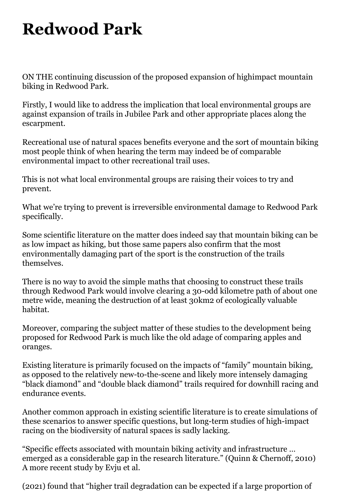## **Redwood Park**

ON THE continuing discussion of the proposed expansion of highimpact mountain biking in Redwood Park.

Firstly, I would like to address the implication that local environmental groups are against expansion of trails in Jubilee Park and other appropriate places along the escarpment.

Recreational use of natural spaces benefits everyone and the sort of mountain biking most people think of when hearing the term may indeed be of comparable environmental impact to other recreational trail uses.

This is not what local environmental groups are raising their voices to try and prevent.

What we're trying to prevent is irreversible environmental damage to Redwood Park specifically.

Some scientific literature on the matter does indeed say that mountain biking can be as low impact as hiking, but those same papers also confirm that the most environmentally damaging part of the sport is the construction of the trails themselves.

There is no way to avoid the simple maths that choosing to construct these trails through Redwood Park would involve clearing a 30-odd kilometre path of about one metre wide, meaning the destruction of at least 30km2 of ecologically valuable habitat.

Moreover, comparing the subject matter of these studies to the development being proposed for Redwood Park is much like the old adage of comparing apples and oranges.

Existing literature is primarily focused on the impacts of "family" mountain biking, as opposed to the relatively new-to-the-scene and likely more intensely damaging "black diamond" and "double black diamond" trails required for downhill racing and endurance events.

Another common approach in existing scientific literature is to create simulations of these scenarios to answer specific questions, but long-term studies of high-impact racing on the biodiversity of natural spaces is sadly lacking.

"Specific effects associated with mountain biking activity and infrastructure … emerged as a considerable gap in the research literature." (Quinn & Chernoff, 2010) A more recent study by Evju et al.

(2021) found that "higher trail degradation can be expected if a large proportion of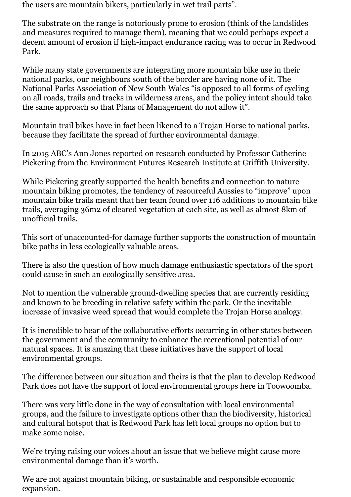the users are mountain bikers, particularly in wet trail parts".

The substrate on the range is notoriously prone to erosion (think of the landslides and measures required to manage them), meaning that we could perhaps expect a decent amount of erosion if high-impact endurance racing was to occur in Redwood Park.

While many state governments are integrating more mountain bike use in their national parks, our neighbours south of the border are having none of it. The National Parks Association of New South Wales "is opposed to all forms of cycling on all roads, trails and tracks in wilderness areas, and the policy intent should take the same approach so that Plans of Management do not allow it".

Mountain trail bikes have in fact been likened to a Trojan Horse to national parks, because they facilitate the spread of further environmental damage.

In 2015 ABC's Ann Jones reported on research conducted by Professor Catherine Pickering from the Environment Futures Research Institute at Griffith University.

While Pickering greatly supported the health benefits and connection to nature mountain biking promotes, the tendency of resourceful Aussies to "improve" upon mountain bike trails meant that her team found over 116 additions to mountain bike trails, averaging 36m2 of cleared vegetation at each site, as well as almost 8km of unofficial trails.

This sort of unaccounted-for damage further supports the construction of mountain bike paths in less ecologically valuable areas.

There is also the question of how much damage enthusiastic spectators of the sport could cause in such an ecologically sensitive area.

Not to mention the vulnerable ground-dwelling species that are currently residing and known to be breeding in relative safety within the park. Or the inevitable increase of invasive weed spread that would complete the Trojan Horse analogy.

It is incredible to hear of the collaborative efforts occurring in other states between the government and the community to enhance the recreational potential of our natural spaces. It is amazing that these initiatives have the support of local environmental groups.

The difference between our situation and theirs is that the plan to develop Redwood Park does not have the support of local environmental groups here in Toowoomba.

There was very little done in the way of consultation with local environmental groups, and the failure to investigate options other than the biodiversity, historical and cultural hotspot that is Redwood Park has left local groups no option but to make some noise.

We're trying raising our voices about an issue that we believe might cause more environmental damage than it's worth.

We are not against mountain biking, or sustainable and responsible economic expansion.